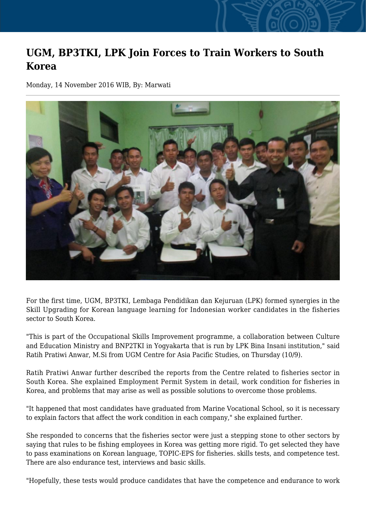## **UGM, BP3TKI, LPK Join Forces to Train Workers to South Korea**

Monday, 14 November 2016 WIB, By: Marwati



For the first time, UGM, BP3TKI, Lembaga Pendidikan dan Kejuruan (LPK) formed synergies in the Skill Upgrading for Korean language learning for Indonesian worker candidates in the fisheries sector to South Korea.

"This is part of the Occupational Skills Improvement programme, a collaboration between Culture and Education Ministry and BNP2TKI in Yogyakarta that is run by LPK Bina Insani institution," said Ratih Pratiwi Anwar, M.Si from UGM Centre for Asia Pacific Studies, on Thursday (10/9).

Ratih Pratiwi Anwar further described the reports from the Centre related to fisheries sector in South Korea. She explained Employment Permit System in detail, work condition for fisheries in Korea, and problems that may arise as well as possible solutions to overcome those problems.

"It happened that most candidates have graduated from Marine Vocational School, so it is necessary to explain factors that affect the work condition in each company," she explained further.

She responded to concerns that the fisheries sector were just a stepping stone to other sectors by saying that rules to be fishing employees in Korea was getting more rigid. To get selected they have to pass examinations on Korean language, TOPIC-EPS for fisheries. skills tests, and competence test. There are also endurance test, interviews and basic skills.

"Hopefully, these tests would produce candidates that have the competence and endurance to work